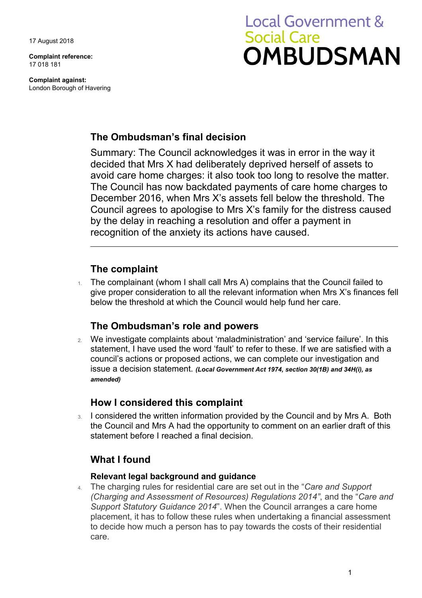17 August 2018

**Complaint reference:**  17 018 181

**Complaint against:**  London Borough of Havering

# **Local Government & Social Care OMBUDSMAN**

## **The Ombudsman's final decision**

 avoid care home charges: it also took too long to resolve the matter. by the delay in reaching a resolution and offer a payment in Summary: The Council acknowledges it was in error in the way it decided that Mrs X had deliberately deprived herself of assets to The Council has now backdated payments of care home charges to December 2016, when Mrs X's assets fell below the threshold. The Council agrees to apologise to Mrs X's family for the distress caused recognition of the anxiety its actions have caused.

## **The complaint**

1. The complainant (whom I shall call Mrs A) complains that the Council failed to give proper consideration to all the relevant information when Mrs X's finances fell below the threshold at which the Council would help fund her care.

## **The Ombudsman's role and powers**

 statement, I have used the word 'fault' to refer to these. If we are satisfied with a 2. We investigate complaints about 'maladministration' and 'service failure'. In this council's actions or proposed actions, we can complete our investigation and issue a decision statement. *(Local Government Act 1974, section 30(1B) and 34H(i), as amended)* 

## **How I considered this complaint**

 statement before I reached a final decision. 3. I considered the written information provided by the Council and by Mrs A. Both the Council and Mrs A had the opportunity to comment on an earlier draft of this

# **What I found**

#### **Relevant legal background and guidance**

 *(Charging and Assessment of Resources) Regulations 2014"*, and the "*Care and*  to decide how much a person has to pay towards the costs of their residential 4. The charging rules for residential care are set out in the "*Care and Support Support Statutory Guidance 2014*". When the Council arranges a care home placement, it has to follow these rules when undertaking a financial assessment care.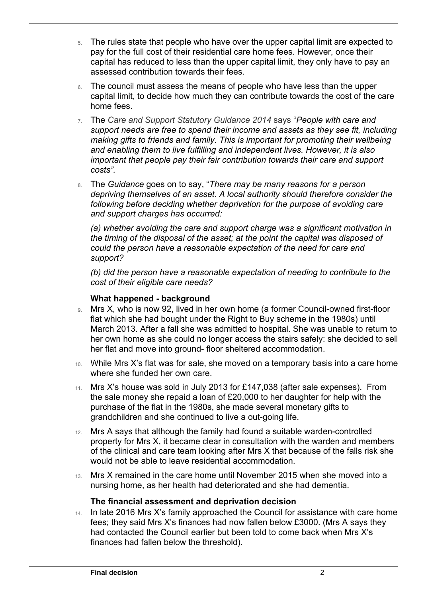- capital has reduced to less than the upper capital limit, they only have to pay an 5. The rules state that people who have over the upper capital limit are expected to pay for the full cost of their residential care home fees. However, once their assessed contribution towards their fees.
- 6. The council must assess the means of people who have less than the upper capital limit, to decide how much they can contribute towards the cost of the care home fees.
- *and enabling them to live fulfilling and independent lives. However, it is also*  7. The *Care and Support Statutory Guidance 2014* says "*People with care and support needs are free to spend their income and assets as they see fit, including making gifts to friends and family. This is important for promoting their wellbeing important that people pay their fair contribution towards their care and support costs".*
- 8. The *Guidance* goes on to say, "*There may be many reasons for a person depriving themselves of an asset. A local authority should therefore consider the following before deciding whether deprivation for the purpose of avoiding care and support charges has occurred:*

(a) whether avoiding the care and support charge was a significant motivation in  *could the person have a reasonable expectation of the need for care and the timing of the disposal of the asset; at the point the capital was disposed of support?* 

 *(b) did the person have a reasonable expectation of needing to contribute to the cost of their eligible care needs?* 

#### **What happened - background**

 $\overline{a}$ 

- 9. Mrs X, who is now 92, lived in her own home (a former Council-owned first-floor her own home as she could no longer access the stairs safely: she decided to sell flat which she had bought under the Right to Buy scheme in the 1980s) until March 2013. After a fall she was admitted to hospital. She was unable to return to her flat and move into ground- floor sheltered accommodation.
- 10. While Mrs X's flat was for sale, she moved on a temporary basis into a care home where she funded her own care.
- the sale money she repaid a loan of £20,000 to her daughter for help with the purchase of the flat in the 1980s, she made several monetary gifts to 11. Mrs X's house was sold in July 2013 for £147,038 (after sale expenses). From grandchildren and she continued to live a out-going life.
- 12. Mrs A says that although the family had found a suitable warden-controlled property for Mrs X, it became clear in consultation with the warden and members of the clinical and care team looking after Mrs X that because of the falls risk she would not be able to leave residential accommodation.
- 13. Mrs X remained in the care home until November 2015 when she moved into a nursing home, as her health had deteriorated and she had dementia.

#### **The financial assessment and deprivation decision**

 had contacted the Council earlier but been told to come back when Mrs X's 14. In late 2016 Mrs X's family approached the Council for assistance with care home fees; they said Mrs X's finances had now fallen below £3000. (Mrs A says they finances had fallen below the threshold).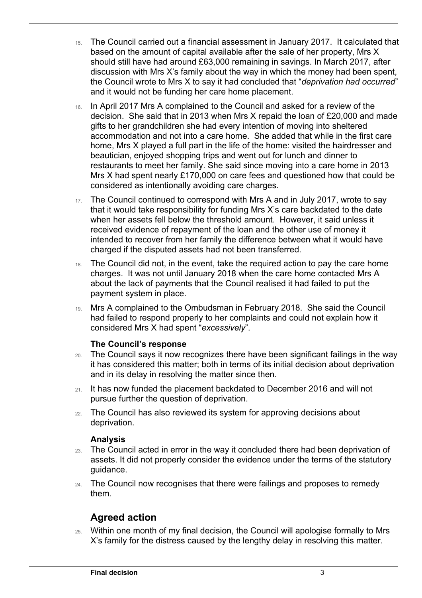- should still have had around £63,000 remaining in savings. In March 2017, after the Council wrote to Mrs X to say it had concluded that "*deprivation had occurred*" 15. The Council carried out a financial assessment in January 2017. It calculated that based on the amount of capital available after the sale of her property, Mrs X discussion with Mrs X's family about the way in which the money had been spent, and it would not be funding her care home placement.
- accommodation and not into a care home. She added that while in the first care home, Mrs X played a full part in the life of the home: visited the hairdresser and 16. In April 2017 Mrs A complained to the Council and asked for a review of the decision. She said that in 2013 when Mrs X repaid the loan of £20,000 and made gifts to her grandchildren she had every intention of moving into sheltered beautician, enjoyed shopping trips and went out for lunch and dinner to restaurants to meet her family. She said since moving into a care home in 2013 Mrs X had spent nearly £170,000 on care fees and questioned how that could be considered as intentionally avoiding care charges.
- that it would take responsibility for funding Mrs X's care backdated to the date 17. The Council continued to correspond with Mrs A and in July 2017, wrote to say when her assets fell below the threshold amount. However, it said unless it received evidence of repayment of the loan and the other use of money it intended to recover from her family the difference between what it would have charged if the disputed assets had not been transferred.
- charges. It was not until January 2018 when the care home contacted Mrs A about the lack of payments that the Council realised it had failed to put the 18. The Council did not, in the event, take the required action to pay the care home payment system in place.
- 19. Mrs A complained to the Ombudsman in February 2018. She said the Council had failed to respond properly to her complaints and could not explain how it considered Mrs X had spent "*excessively*".

#### **The Council's response**

- 20. The Council says it now recognizes there have been significant failings in the way it has considered this matter; both in terms of its initial decision about deprivation and in its delay in resolving the matter since then.
- pursue further the question of deprivation. 21. It has now funded the placement backdated to December 2016 and will not
- 22. The Council has also reviewed its system for approving decisions about deprivation.

#### **Analysis**

 $\overline{a}$ 

- 23. The Council acted in error in the way it concluded there had been deprivation of assets. It did not properly consider the evidence under the terms of the statutory guidance.
- 24. The Council now recognises that there were failings and proposes to remedy them.

# **Agreed action**

 25. Within one month of my final decision, the Council will apologise formally to Mrs X's family for the distress caused by the lengthy delay in resolving this matter.